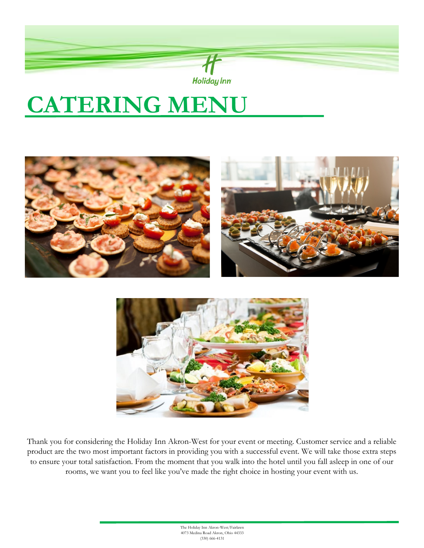

# **CATERING MENU**





Thank you for considering the Holiday Inn Akron-West for your event or meeting. Customer service and a reliable product are the two most important factors in providing you with a successful event. We will take those extra steps to ensure your total satisfaction. From the moment that you walk into the hotel until you fall asleep in one of our rooms, we want you to feel like you've made the right choice in hosting your event with us.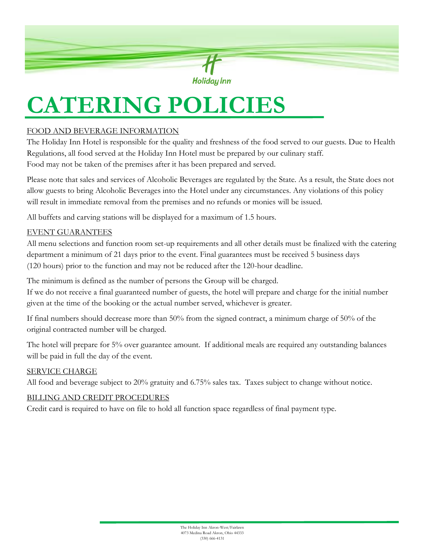

# **CATERING POLICIES**

### FOOD AND BEVERAGE INFORMATION

The Holiday Inn Hotel is responsible for the quality and freshness of the food served to our guests. Due to Health Regulations, all food served at the Holiday Inn Hotel must be prepared by our culinary staff. Food may not be taken of the premises after it has been prepared and served.

Please note that sales and services of Alcoholic Beverages are regulated by the State. As a result, the State does not allow guests to bring Alcoholic Beverages into the Hotel under any circumstances. Any violations of this policy will result in immediate removal from the premises and no refunds or monies will be issued.

All buffets and carving stations will be displayed for a maximum of 1.5 hours.

#### EVENT GUARANTEES

All menu selections and function room set-up requirements and all other details must be finalized with the catering department a minimum of 21 days prior to the event. Final guarantees must be received 5 business days (120 hours) prior to the function and may not be reduced after the 120-hour deadline.

The minimum is defined as the number of persons the Group will be charged.

If we do not receive a final guaranteed number of guests, the hotel will prepare and charge for the initial number given at the time of the booking or the actual number served, whichever is greater.

If final numbers should decrease more than 50% from the signed contract, a minimum charge of 50% of the original contracted number will be charged.

The hotel will prepare for 5% over guarantee amount. If additional meals are required any outstanding balances will be paid in full the day of the event.

#### SERVICE CHARGE

All food and beverage subject to 20% gratuity and 6.75% sales tax. Taxes subject to change without notice.

#### BILLING AND CREDIT PROCEDURES

Credit card is required to have on file to hold all function space regardless of final payment type.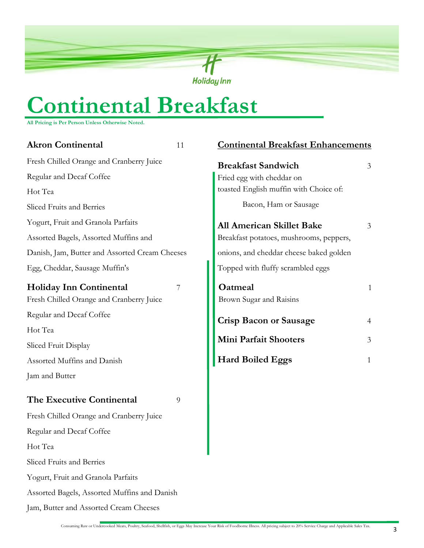

# **Continental Breakfast**

**All Pricing is Per Person Unless Otherwise Noted.**

| <b>Akron Continental</b>                       | 11 | <b>Continental Breakfast Enhancements</b> |                |
|------------------------------------------------|----|-------------------------------------------|----------------|
| Fresh Chilled Orange and Cranberry Juice       |    | <b>Breakfast Sandwich</b>                 | 3              |
| Regular and Decaf Coffee                       |    | Fried egg with cheddar on                 |                |
| Hot Tea                                        |    | toasted English muffin with Choice of:    |                |
| Sliced Fruits and Berries                      |    | Bacon, Ham or Sausage                     |                |
| Yogurt, Fruit and Granola Parfaits             |    | <b>All American Skillet Bake</b>          | 3              |
| Assorted Bagels, Assorted Muffins and          |    | Breakfast potatoes, mushrooms, peppers,   |                |
| Danish, Jam, Butter and Assorted Cream Cheeses |    | onions, and cheddar cheese baked golden   |                |
| Egg, Cheddar, Sausage Muffin's                 |    | Topped with fluffy scrambled eggs         |                |
| <b>Holiday Inn Continental</b>                 | 7  | Oatmeal                                   | $\mathbf{1}$   |
| Fresh Chilled Orange and Cranberry Juice       |    | Brown Sugar and Raisins                   |                |
| Regular and Decaf Coffee                       |    | <b>Crisp Bacon or Sausage</b>             | 4              |
| Hot Tea                                        |    |                                           |                |
| Sliced Fruit Display                           |    | Mini Parfait Shooters                     | $\mathfrak{Z}$ |
| Assorted Muffins and Danish                    |    | <b>Hard Boiled Eggs</b>                   | 1              |
| Jam and Butter                                 |    |                                           |                |
| The Executive Continental                      | 9  |                                           |                |
| Fresh Chilled Orange and Cranberry Juice       |    |                                           |                |
| Regular and Decaf Coffee                       |    |                                           |                |
| Hot Tea                                        |    |                                           |                |
| Sliced Fruits and Berries                      |    |                                           |                |
| Yogurt, Fruit and Granola Parfaits             |    |                                           |                |
| Assorted Bagels, Assorted Muffins and Danish   |    |                                           |                |
| Jam, Butter and Assorted Cream Cheeses         |    |                                           |                |
|                                                |    |                                           |                |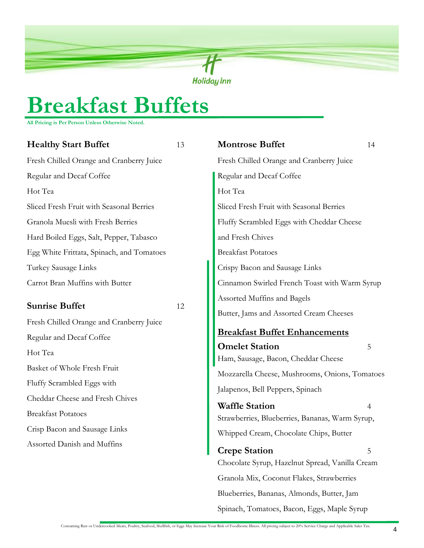

## **Breakfast Buffets**

**All Pricing is Per Person Unless Otherwise Noted.**

| <b>Healthy Start Buffet</b>               | 13 | <b>Montrose Buffet</b>                                                   | 14 |
|-------------------------------------------|----|--------------------------------------------------------------------------|----|
| Fresh Chilled Orange and Cranberry Juice  |    | Fresh Chilled Orange and Cranberry Juice                                 |    |
| Regular and Decaf Coffee                  |    | Regular and Decaf Coffee                                                 |    |
| Hot Tea                                   |    | Hot Tea                                                                  |    |
| Sliced Fresh Fruit with Seasonal Berries  |    | Sliced Fresh Fruit with Seasonal Berries                                 |    |
| Granola Muesli with Fresh Berries         |    | Fluffy Scrambled Eggs with Cheddar Cheese                                |    |
| Hard Boiled Eggs, Salt, Pepper, Tabasco   |    | and Fresh Chives                                                         |    |
| Egg White Frittata, Spinach, and Tomatoes |    | <b>Breakfast Potatoes</b>                                                |    |
| Turkey Sausage Links                      |    | Crispy Bacon and Sausage Links                                           |    |
| Carrot Bran Muffins with Butter           |    | Cinnamon Swirled French Toast with Warm Syrup                            |    |
| <b>Sunrise Buffet</b>                     | 12 | Assorted Muffins and Bagels<br>Butter, Jams and Assorted Cream Cheeses   |    |
| Fresh Chilled Orange and Cranberry Juice  |    |                                                                          |    |
| Regular and Decaf Coffee                  |    | <b>Breakfast Buffet Enhancements</b>                                     |    |
| Hot Tea                                   |    | <b>Omelet Station</b><br>Ham, Sausage, Bacon, Cheddar Cheese             | 5  |
| Basket of Whole Fresh Fruit               |    | Mozzarella Cheese, Mushrooms, Onions, Tomatoes                           |    |
| Fluffy Scrambled Eggs with                |    | Jalapenos, Bell Peppers, Spinach                                         |    |
| Cheddar Cheese and Fresh Chives           |    |                                                                          |    |
| <b>Breakfast Potatoes</b>                 |    | <b>Waffle Station</b><br>Strawberries, Blueberries, Bananas, Warm Syrup, | 4  |
| Crisp Bacon and Sausage Links             |    | Whipped Cream, Chocolate Chips, Butter                                   |    |
| Assorted Danish and Muffins               |    | <b>Crepe Station</b>                                                     |    |
|                                           |    | Chocolate Syrup, Hazelnut Spread, Vanilla Cream                          |    |
|                                           |    | Granola Mix, Coconut Flakes, Strawberries                                |    |
|                                           |    | Blueberries, Bananas, Almonds, Butter, Jam                               |    |
|                                           |    | Spinach, Tomatoes, Bacon, Eggs, Maple Syrup                              |    |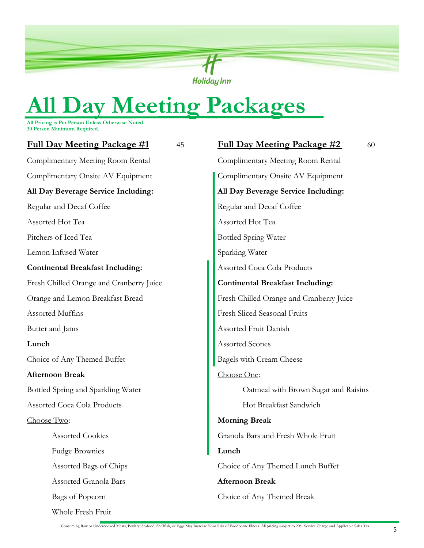

# **All Day Meeting Packages**

**All Pricing is Per Person Unless Otherwise Noted. 30 Person Minimum Required.** 

| <b>Full Day Meeting Package #1</b><br>45 | <b>Full Day Meeting Package #2</b><br>60 |
|------------------------------------------|------------------------------------------|
| Complimentary Meeting Room Rental        | Complimentary Meeting Room Rental        |
| Complimentary Onsite AV Equipment        | Complimentary Onsite AV Equipment        |
| All Day Beverage Service Including:      | All Day Beverage Service Including:      |
| Regular and Decaf Coffee                 | Regular and Decaf Coffee                 |
| Assorted Hot Tea                         | Assorted Hot Tea                         |
| Pitchers of Iced Tea                     | <b>Bottled Spring Water</b>              |
| Lemon Infused Water                      | Sparking Water                           |
| <b>Continental Breakfast Including:</b>  | Assorted Coca Cola Products              |
| Fresh Chilled Orange and Cranberry Juice | <b>Continental Breakfast Including:</b>  |
| Orange and Lemon Breakfast Bread         | Fresh Chilled Orange and Cranberry Juice |
| Assorted Muffins                         | Fresh Sliced Seasonal Fruits             |
| Butter and Jams                          | Assorted Fruit Danish                    |
| Lunch                                    | Assorted Scones                          |
| Choice of Any Themed Buffet              | <b>Bagels with Cream Cheese</b>          |
| <b>Afternoon Break</b>                   | Choose One:                              |
| Bottled Spring and Sparkling Water       | Oatmeal with Brown Sugar and Raisins     |
| Assorted Coca Cola Products              | Hot Breakfast Sandwich                   |
| Choose Two:                              | <b>Morning Break</b>                     |
| <b>Assorted Cookies</b>                  | Granola Bars and Fresh Whole Fruit       |
| <b>Fudge Brownies</b>                    | Lunch                                    |
| Assorted Bags of Chips                   | Choice of Any Themed Lunch Buffet        |
| Assorted Granola Bars                    | <b>Afternoon Break</b>                   |
| Bags of Popcorn                          | Choice of Any Themed Break               |
| Whole Fresh Fruit                        |                                          |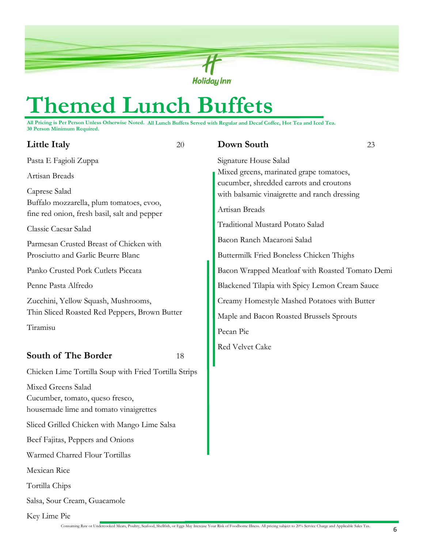

## **Themed Lunch Buffets**

**All Pricing is Per Person Unless Otherwise Noted. All Lunch Buffets Served with Regular and Decaf Coffee, Hot Tea and Iced Tea. 30 Person Minimum Required.** 

| <b>Little Italy</b>                                                                                       | 20 | Down South                                                                                                | 23 |
|-----------------------------------------------------------------------------------------------------------|----|-----------------------------------------------------------------------------------------------------------|----|
| Pasta E Fagioli Zuppa                                                                                     |    | Signature House Salad                                                                                     |    |
| Artisan Breads                                                                                            |    | Mixed greens, marinated grape tomatoes,                                                                   |    |
| Caprese Salad<br>Buffalo mozzarella, plum tomatoes, evoo,<br>fine red onion, fresh basil, salt and pepper |    | cucumber, shredded carrots and croutons<br>with balsamic vinaigrette and ranch dressing<br>Artisan Breads |    |
| Classic Caesar Salad                                                                                      |    | Traditional Mustard Potato Salad                                                                          |    |
| Parmesan Crusted Breast of Chicken with                                                                   |    | Bacon Ranch Macaroni Salad                                                                                |    |
| Prosciutto and Garlic Beurre Blanc                                                                        |    | Buttermilk Fried Boneless Chicken Thighs                                                                  |    |
| Panko Crusted Pork Cutlets Piccata                                                                        |    | Bacon Wrapped Meatloaf with Roasted Tomato Demi                                                           |    |
| Penne Pasta Alfredo                                                                                       |    | Blackened Tilapia with Spicy Lemon Cream Sauce                                                            |    |
| Zucchini, Yellow Squash, Mushrooms,<br>Thin Sliced Roasted Red Peppers, Brown Butter                      |    | Creamy Homestyle Mashed Potatoes with Butter<br>Maple and Bacon Roasted Brussels Sprouts                  |    |
| Tiramisu                                                                                                  |    | Pecan Pie                                                                                                 |    |
| South of The Border                                                                                       | 18 | Red Velvet Cake                                                                                           |    |
| Chicken Lime Tortilla Soup with Fried Tortilla Strips                                                     |    |                                                                                                           |    |
| Mixed Greens Salad<br>Cucumber, tomato, queso fresco,<br>housemade lime and tomato vinaigrettes           |    |                                                                                                           |    |
| Sliced Grilled Chicken with Mango Lime Salsa                                                              |    |                                                                                                           |    |
| Beef Fajitas, Peppers and Onions                                                                          |    |                                                                                                           |    |
| Warmed Charred Flour Tortillas                                                                            |    |                                                                                                           |    |
| Mexican Rice                                                                                              |    |                                                                                                           |    |
| Tortilla Chips                                                                                            |    |                                                                                                           |    |
| Salsa, Sour Cream, Guacamole                                                                              |    |                                                                                                           |    |

Key Lime Pie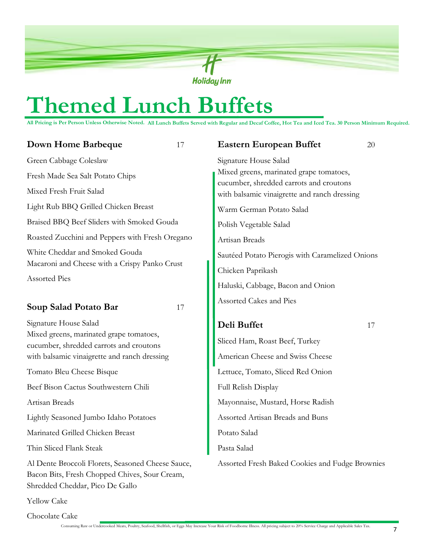

## **Themed Lunch Buffets**

**All Pricing is Per Person Unless Otherwise Noted. All Lunch Buffets Served with Regular and Decaf Coffee, Hot Tea and Iced Tea. 30 Person Minimum Required.**

| <b>Down Home Barbeque</b>                                                                          | 17 | <b>Eastern European Buffet</b>                                                          | 20 |
|----------------------------------------------------------------------------------------------------|----|-----------------------------------------------------------------------------------------|----|
| Green Cabbage Coleslaw                                                                             |    | Signature House Salad                                                                   |    |
| Fresh Made Sea Salt Potato Chips                                                                   |    | Mixed greens, marinated grape tomatoes,                                                 |    |
| Mixed Fresh Fruit Salad                                                                            |    | cucumber, shredded carrots and croutons<br>with balsamic vinaigrette and ranch dressing |    |
| Light Rub BBQ Grilled Chicken Breast                                                               |    | Warm German Potato Salad                                                                |    |
| Braised BBQ Beef Sliders with Smoked Gouda                                                         |    | Polish Vegetable Salad                                                                  |    |
| Roasted Zucchini and Peppers with Fresh Oregano                                                    |    | Artisan Breads                                                                          |    |
| White Cheddar and Smoked Gouda                                                                     |    | Sautéed Potato Pierogis with Caramelized Onions                                         |    |
| Macaroni and Cheese with a Crispy Panko Crust                                                      |    | Chicken Paprikash                                                                       |    |
| Assorted Pies                                                                                      |    | Haluski, Cabbage, Bacon and Onion                                                       |    |
| Soup Salad Potato Bar                                                                              | 17 | Assorted Cakes and Pies                                                                 |    |
| Signature House Salad                                                                              |    | Deli Buffet                                                                             | 17 |
| Mixed greens, marinated grape tomatoes,<br>cucumber, shredded carrots and croutons                 |    | Sliced Ham, Roast Beef, Turkey                                                          |    |
| with balsamic vinaigrette and ranch dressing                                                       |    | American Cheese and Swiss Cheese                                                        |    |
| Tomato Bleu Cheese Bisque                                                                          |    | Lettuce, Tomato, Sliced Red Onion                                                       |    |
| Beef Bison Cactus Southwestern Chili                                                               |    | Full Relish Display                                                                     |    |
| Artisan Breads                                                                                     |    | Mayonnaise, Mustard, Horse Radish                                                       |    |
| Lightly Seasoned Jumbo Idaho Potatoes                                                              |    | Assorted Artisan Breads and Buns                                                        |    |
| Marinated Grilled Chicken Breast                                                                   |    | Potato Salad                                                                            |    |
| Thin Sliced Flank Steak                                                                            |    | Pasta Salad                                                                             |    |
| Al Dente Broccoli Florets, Seasoned Cheese Sauce,<br>Bacon Bits, Fresh Chopped Chives, Sour Cream, |    | Assorted Fresh Baked Cookies and Fudge Brownies                                         |    |

Yellow Cake

Chocolate Cake

Shredded Cheddar, Pico De Gallo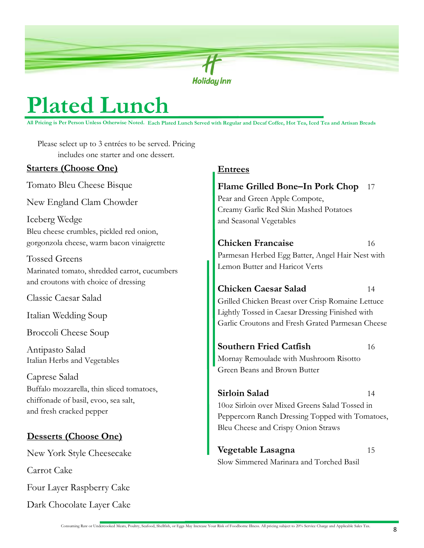

## **Plated Lunch**

**All Pricing is Per Person Unless Otherwise Noted. Each Plated Lunch Served with Regular and Decaf Coffee, Hot Tea, Iced Tea and Artisan Breads**

Please select up to 3 entrées to be served. Pricing includes one starter and one dessert.

### **Starters (Choose One)**

Tomato Bleu Cheese Bisque

New England Clam Chowder

Iceberg Wedge Bleu cheese crumbles, pickled red onion, gorgonzola cheese, warm bacon vinaigrette

Tossed Greens Marinated tomato, shredded carrot, cucumbers and croutons with choice of dressing

Classic Caesar Salad

Italian Wedding Soup

Broccoli Cheese Soup

Antipasto Salad Italian Herbs and Vegetables

Caprese Salad Buffalo mozzarella, thin sliced tomatoes, chiffonade of basil, evoo, sea salt, and fresh cracked pepper

## **Desserts (Choose One)**

New York Style Cheesecake

Carrot Cake

Four Layer Raspberry Cake

Dark Chocolate Layer Cake

### **Entrees**

## **Flame Grilled Bone–In Pork Chop** 17 Pear and Green Apple Compote,

Creamy Garlic Red Skin Mashed Potatoes and Seasonal Vegetables

**Chicken Francaise** 16

Parmesan Herbed Egg Batter, Angel Hair Nest with Lemon Butter and Haricot Verts

## **Chicken Caesar Salad** 14

Grilled Chicken Breast over Crisp Romaine Lettuce Lightly Tossed in Caesar Dressing Finished with Garlic Croutons and Fresh Grated Parmesan Cheese

**Southern Fried Catfish** 16 Mornay Remoulade with Mushroom Risotto Green Beans and Brown Butter

## **Sirloin Salad** 14

10oz Sirloin over Mixed Greens Salad Tossed in Peppercorn Ranch Dressing Topped with Tomatoes, Bleu Cheese and Crispy Onion Straws

**Vegetable Lasagna** 15 Slow Simmered Marinara and Torched Basil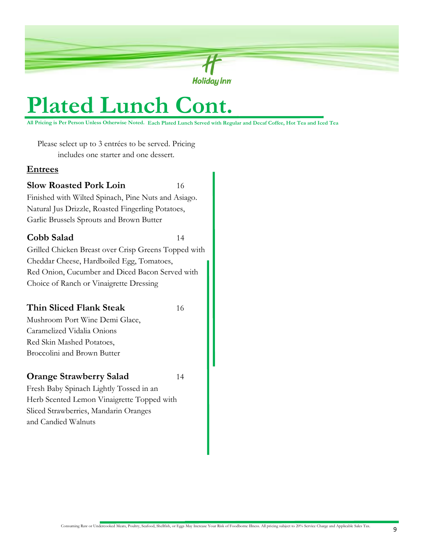

## **Plated Lunch Cont.**

**All Pricing is Per Person Unless Otherwise Noted. Each Plated Lunch Served with Regular and Decaf Coffee, Hot Tea and Iced Tea** 

Please select up to 3 entrées to be served. Pricing includes one starter and one dessert.

#### **Entrees**

#### **Slow Roasted Pork Loin** 16

Finished with Wilted Spinach, Pine Nuts and Asiago. Natural Jus Drizzle, Roasted Fingerling Potatoes, Garlic Brussels Sprouts and Brown Butter

### **Cobb Salad** 14

Grilled Chicken Breast over Crisp Greens Topped with Cheddar Cheese, Hardboiled Egg, Tomatoes, Red Onion, Cucumber and Diced Bacon Served with Choice of Ranch or Vinaigrette Dressing

### **Thin Sliced Flank Steak** 16

Mushroom Port Wine Demi Glace, Caramelized Vidalia Onions Red Skin Mashed Potatoes, Broccolini and Brown Butter

### **Orange Strawberry Salad** 14

Fresh Baby Spinach Lightly Tossed in an Herb Scented Lemon Vinaigrette Topped with Sliced Strawberries, Mandarin Oranges and Candied Walnuts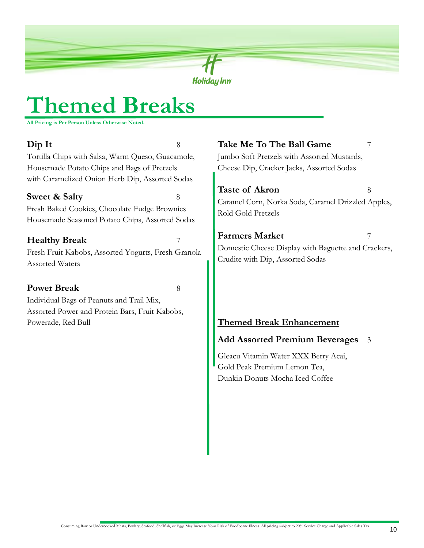

## **Themed Breaks**

**All Pricing is Per Person Unless Otherwise Noted.**

**Dip It** 8 Tortilla Chips with Salsa, Warm Queso, Guacamole, Housemade Potato Chips and Bags of Pretzels with Caramelized Onion Herb Dip, Assorted Sodas

## **Sweet & Salty** 8

Fresh Baked Cookies, Chocolate Fudge Brownies Housemade Seasoned Potato Chips, Assorted Sodas

### **Healthy Break** 7

Fresh Fruit Kabobs, Assorted Yogurts, Fresh Granola Assorted Waters

### **Power Break** 8

Individual Bags of Peanuts and Trail Mix, Assorted Power and Protein Bars, Fruit Kabobs, Powerade, Red Bull **Themed Break Enhancement** 

### **Take Me To The Ball Game** 7

Jumbo Soft Pretzels with Assorted Mustards, Cheese Dip, Cracker Jacks, Assorted Sodas

**Taste of Akron** 8 Caramel Corn, Norka Soda, Caramel Drizzled Apples, Rold Gold Pretzels

**Farmers Market** 7 Domestic Cheese Display with Baguette and Crackers, Crudite with Dip, Assorted Sodas

### **Add Assorted Premium Beverages** 3

Gleacu Vitamin Water XXX Berry Acai, Gold Peak Premium Lemon Tea, Dunkin Donuts Mocha Iced Coffee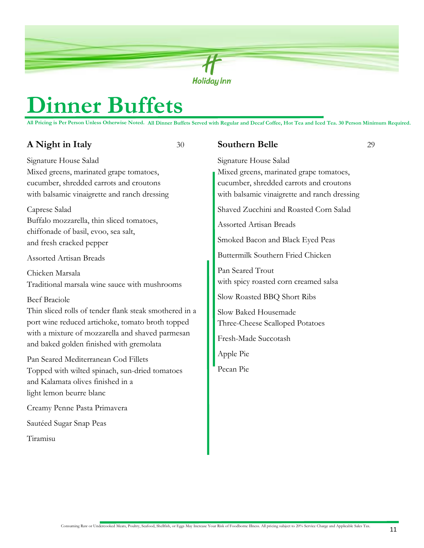

## **Dinner Buffets**

**All Pricing is Per Person Unless Otherwise Noted. All Dinner Buffets Served with Regular and Decaf Coffee, Hot Tea and Iced Tea. 30 Person Minimum Required.**

### **A** Night in Italy 30

Signature House Salad Mixed greens, marinated grape tomatoes, cucumber, shredded carrots and croutons with balsamic vinaigrette and ranch dressing

Caprese Salad Buffalo mozzarella, thin sliced tomatoes, chiffonade of basil, evoo, sea salt, and fresh cracked pepper

Assorted Artisan Breads

Chicken Marsala Traditional marsala wine sauce with mushrooms

#### Beef Braciole

Thin sliced rolls of tender flank steak smothered in a port wine reduced artichoke, tomato broth topped with a mixture of mozzarella and shaved parmesan and baked golden finished with gremolata

Pan Seared Mediterranean Cod Fillets Topped with wilted spinach, sun-dried tomatoes and Kalamata olives finished in a light lemon beurre blanc

Creamy Penne Pasta Primavera

Sautéed Sugar Snap Peas

Tiramisu

**Southern Belle** 29 Signature House Salad Mixed greens, marinated grape tomatoes, cucumber, shredded carrots and croutons with balsamic vinaigrette and ranch dressing Shaved Zucchini and Roasted Corn Salad Assorted Artisan Breads Smoked Bacon and Black Eyed Peas Buttermilk Southern Fried Chicken Pan Seared Trout with spicy roasted corn creamed salsa Slow Roasted BBQ Short Ribs Slow Baked Housemade Three-Cheese Scalloped Potatoes Fresh-Made Succotash Apple Pie Pecan Pie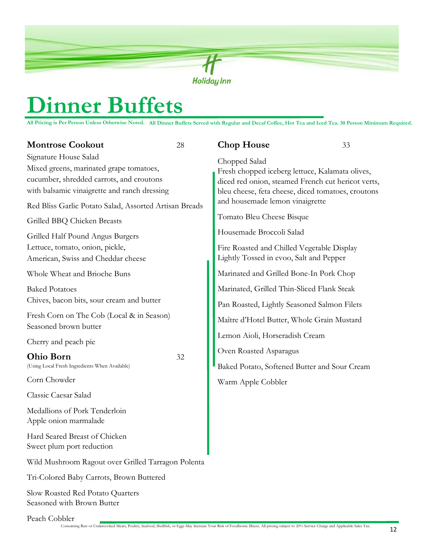

## **Dinner Buffets**

**All Pricing is Per Person Unless Otherwise Noted. All Dinner Buffets Served with Regular and Decaf Coffee, Hot Tea and Iced Tea. 30 Person Minimum Required.**

Signature House Salad Mixed greens, marinated grape tomatoes, cucumber, shredded carrots, and croutons with balsamic vinaigrette and ranch dressing Red Bliss Garlic Potato Salad, Assorted Artisan Breads Grilled BBQ Chicken Breasts Grilled Half Pound Angus Burgers Lettuce, tomato, onion, pickle, American, Swiss and Cheddar cheese Whole Wheat and Brioche Buns Baked Potatoes Chives, bacon bits, sour cream and butter Fresh Corn on The Cob (Local & in Season) Seasoned brown butter Cherry and peach pie **Ohio Born** 32 (Using Local Fresh Ingredients When Available) Corn Chowder Classic Caesar Salad Medallions of Pork Tenderloin Apple onion marmalade

Hard Seared Breast of Chicken Sweet plum port reduction

Wild Mushroom Ragout over Grilled Tarragon Polenta

Tri-Colored Baby Carrots, Brown Buttered

Slow Roasted Red Potato Quarters Seasoned with Brown Butter

Peach Cobbler

#### **Chop House** 33

Chopped Salad Fresh chopped iceberg lettuce, Kalamata olives, diced red onion, steamed French cut hericot verts, bleu cheese, feta cheese, diced tomatoes, croutons and housemade lemon vinaigrette

Tomato Bleu Cheese Bisque

Housemade Broccoli Salad

Fire Roasted and Chilled Vegetable Display Lightly Tossed in evoo, Salt and Pepper

Marinated and Grilled Bone-In Pork Chop

Marinated, Grilled Thin-Sliced Flank Steak

Pan Roasted, Lightly Seasoned Salmon Filets

Maître d'Hotel Butter, Whole Grain Mustard

Lemon Aioli, Horseradish Cream

Oven Roasted Asparagus

Baked Potato, Softened Butter and Sour Cream Warm Apple Cobbler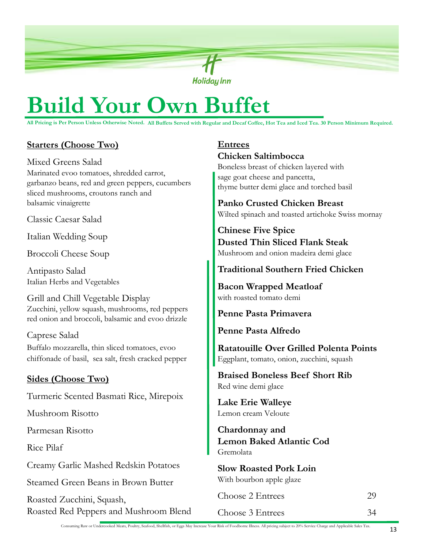

## **Build Your Own Buffet**

**All Pricing is Per Person Unless Otherwise Noted. All Buffets Served with Regular and Decaf Coffee, Hot Tea and Iced Tea. 30 Person Minimum Required.**

### **Starters (Choose Two)**

Mixed Greens Salad Marinated evoo tomatoes, shredded carrot, garbanzo beans, red and green peppers, cucumbers sliced mushrooms, croutons ranch and balsamic vinaigrette

Classic Caesar Salad

Italian Wedding Soup

Broccoli Cheese Soup

Antipasto Salad Italian Herbs and Vegetables

Grill and Chill Vegetable Display Zucchini, yellow squash, mushrooms, red peppers red onion and broccoli, balsamic and evoo drizzle

Caprese Salad Buffalo mozzarella, thin sliced tomatoes, evoo chiffonade of basil, sea salt, fresh cracked pepper

### **Sides (Choose Two)**

Turmeric Scented Basmati Rice, Mirepoix

Mushroom Risotto

Parmesan Risotto

Rice Pilaf

Creamy Garlic Mashed Redskin Potatoes

Steamed Green Beans in Brown Butter

Roasted Zucchini, Squash, Roasted Red Peppers and Mushroom Blend

## **Entrees Chicken Saltimbocca**

Boneless breast of chicken layered with sage goat cheese and pancetta, thyme butter demi glace and torched basil

**Panko Crusted Chicken Breast** Wilted spinach and toasted artichoke Swiss mornay

**Chinese Five Spice Dusted Thin Sliced Flank Steak** Mushroom and onion madeira demi glace

### **Traditional Southern Fried Chicken**

**Bacon Wrapped Meatloaf**  with roasted tomato demi

**Penne Pasta Primavera** 

**Penne Pasta Alfredo**

**Ratatouille Over Grilled Polenta Points** Eggplant, tomato, onion, zucchini, squash

**Braised Boneless Beef Short Rib** Red wine demi glace

**Lake Erie Walleye**  Lemon cream Veloute

**Chardonnay and Lemon Baked Atlantic Cod**  Gremolata

**Slow Roasted Pork Loin**  With bourbon apple glaze

| <b>Choose 2 Entrees</b> | 29 |
|-------------------------|----|
| Choose 3 Entrees        | 34 |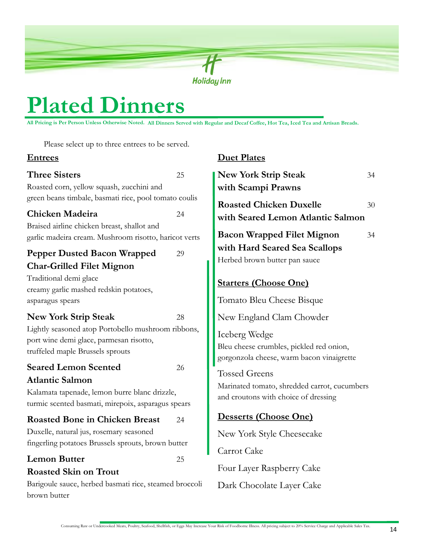

**Duet Plates**

## **Plated Dinners**

**All Pricing is Per Person Unless Otherwise Noted. All Dinners Served with Regular and Decaf Coffee, Hot Tea, Iced Tea and Artisan Breads.**

Please select up to three entrees to be served.

### **Entrees**

| <b>Three Sisters</b><br>Roasted corn, yellow squash, zucchini and<br>green beans timbale, basmati rice, pool tomato coulis                                                                    | 25       | <b>New York Strip Steak</b><br>34<br>with Scampi Prawns                                                                            |
|-----------------------------------------------------------------------------------------------------------------------------------------------------------------------------------------------|----------|------------------------------------------------------------------------------------------------------------------------------------|
| Chicken Madeira<br>Braised airline chicken breast, shallot and<br>garlic madeira cream. Mushroom risotto, haricot verts                                                                       | 24       | <b>Roasted Chicken Duxelle</b><br>30<br>with Seared Lemon Atlantic Salmon<br><b>Bacon Wrapped Filet Mignon</b><br>34               |
| <b>Pepper Dusted Bacon Wrapped</b><br><b>Char-Grilled Filet Mignon</b><br>Traditional demi glace<br>creamy garlic mashed redskin potatoes,<br>asparagus spears                                | 29       | with Hard Seared Sea Scallops<br>Herbed brown butter pan sauce<br><b>Starters (Choose One)</b><br>Tomato Bleu Cheese Bisque        |
| <b>New York Strip Steak</b><br>Lightly seasoned atop Portobello mushroom ribbons,<br>port wine demi glace, parmesan risotto,<br>truffeled maple Brussels sprouts                              | 28       | New England Clam Chowder<br>Iceberg Wedge<br>Bleu cheese crumbles, pickled red onion,<br>gorgonzola cheese, warm bacon vinaigrette |
| <b>Seared Lemon Scented</b><br><b>Atlantic Salmon</b><br>Kalamata tapenade, lemon burre blanc drizzle,<br>turmic scented basmati, mirepoix, asparagus spears                                  | 26       | <b>Tossed Greens</b><br>Marinated tomato, shredded carrot, cucumbers<br>and croutons with choice of dressing                       |
| <b>Roasted Bone in Chicken Breast</b><br>Duxelle, natural jus, rosemary seasoned<br>fingerling potatoes Brussels sprouts, brown butter<br><b>Lemon Butter</b><br><b>Roasted Skin on Trout</b> | 24<br>25 | Desserts (Choose One)<br>New York Style Cheesecake<br>Carrot Cake<br>Four Layer Raspberry Cake                                     |
| Barigoule sauce, herbed basmati rice, steamed broccoli<br>brown butter                                                                                                                        |          | Dark Chocolate Layer Cake                                                                                                          |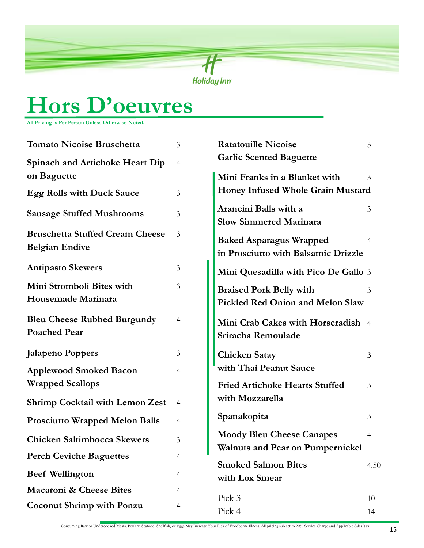

## **Hors D'oeuvres**

**All Pricing is Per Person Unless Otherwise Noted.**

| <b>Tomato Nicoise Bruschetta</b>       | 3              | <b>Ratatouille Nicoise</b>                             | 3    |
|----------------------------------------|----------------|--------------------------------------------------------|------|
| <b>Spinach and Artichoke Heart Dip</b> | $\overline{4}$ | <b>Garlic Scented Baguette</b>                         |      |
| on Baguette                            |                | Mini Franks in a Blanket with                          | 3    |
| <b>Egg Rolls with Duck Sauce</b>       | 3              | Honey Infused Whole Grain Mustard                      |      |
| <b>Sausage Stuffed Mushrooms</b>       | 3              | Arancini Balls with a<br><b>Slow Simmered Marinara</b> | 3    |
| <b>Bruschetta Stuffed Cream Cheese</b> | 3              | <b>Baked Asparagus Wrapped</b>                         | 4    |
| <b>Belgian Endive</b>                  |                | in Prosciutto with Balsamic Drizzle                    |      |
| <b>Antipasto Skewers</b>               | 3              | Mini Quesadilla with Pico De Gallo 3                   |      |
| Mini Stromboli Bites with              | 3              | <b>Braised Pork Belly with</b>                         | 3    |
| Housemade Marinara                     |                | Pickled Red Onion and Melon Slaw                       |      |
| <b>Bleu Cheese Rubbed Burgundy</b>     | $\overline{4}$ | Mini Crab Cakes with Horseradish 4                     |      |
| <b>Poached Pear</b>                    |                | Sriracha Remoulade                                     |      |
| <b>Jalapeno Poppers</b>                | 3              | <b>Chicken Satay</b>                                   | 3    |
| <b>Applewood Smoked Bacon</b>          | $\overline{4}$ | with Thai Peanut Sauce                                 |      |
| <b>Wrapped Scallops</b>                |                | <b>Fried Artichoke Hearts Stuffed</b>                  | 3    |
| <b>Shrimp Cocktail with Lemon Zest</b> | $\overline{4}$ | with Mozzarella                                        |      |
| <b>Prosciutto Wrapped Melon Balls</b>  | $\overline{4}$ | Spanakopita                                            | 3    |
| <b>Chicken Saltimbocca Skewers</b>     | 3              | <b>Moody Bleu Cheese Canapes</b>                       | 4    |
|                                        |                | <b>Walnuts and Pear on Pumpernickel</b>                |      |
| <b>Perch Ceviche Baguettes</b>         | 4              | <b>Smoked Salmon Bites</b>                             | 4.50 |
| <b>Beef Wellington</b>                 | 4              | with Lox Smear                                         |      |
| <b>Macaroni &amp; Cheese Bites</b>     | 4              |                                                        |      |
| <b>Coconut Shrimp with Ponzu</b>       | 4              | Pick 3                                                 | 10   |
|                                        |                | Pick 4                                                 | 14   |

Consuming Raw or Undercooked Meats, Poultry, Seafood, Shellfish, or Eggs May Increase Your Risk of Foodborne Illness. All pricing subject to 20% Service Charge and Applicable Sales Tax.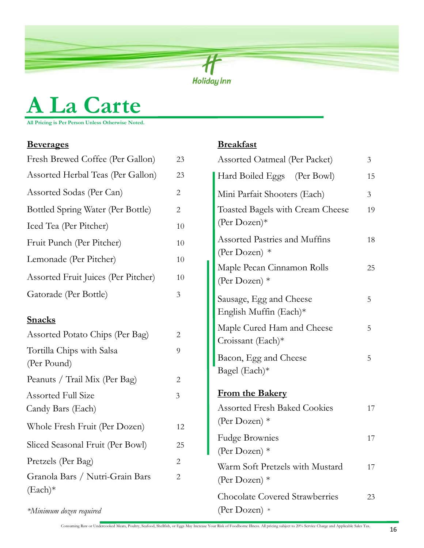

## **A La Carte**

**All Pricing is Per Person Unless Otherwise Noted.**

## **Beverages Breakfast**

| Fresh Brewed Coffee (Per Gallon)               | 23             |
|------------------------------------------------|----------------|
| Assorted Herbal Teas (Per Gallon)              | 23             |
| Assorted Sodas (Per Can)                       | 2              |
| Bottled Spring Water (Per Bottle)              | 2              |
| Iced Tea (Per Pitcher)                         | 10             |
| Fruit Punch (Per Pitcher)                      | 10             |
| Lemonade (Per Pitcher)                         | 10             |
| Assorted Fruit Juices (Per Pitcher)            | $10\,$         |
| Gatorade (Per Bottle)                          | 3              |
| <b>Snacks</b>                                  |                |
| Assorted Potato Chips (Per Bag)                | 2              |
| Tortilla Chips with Salsa<br>(Per Pound)       | 9              |
| Peanuts / Trail Mix (Per Bag)                  | 2              |
| <b>Assorted Full Size</b><br>Candy Bars (Each) | $\mathfrak{Z}$ |
| Whole Fresh Fruit (Per Dozen)                  | 12             |
| Sliced Seasonal Fruit (Per Bowl)               | 25             |
| Pretzels (Per Bag)                             | 2              |
| Granola Bars / Nutri-Grain Bars<br>$(Each)*$   | 2              |
| *Minimum dozen required                        |                |

| <b>Assorted Oatmeal (Per Packet)</b>                    | 3  |
|---------------------------------------------------------|----|
| Hard Boiled Eggs (Per Bowl)                             | 15 |
| Mini Parfait Shooters (Each)                            | 3  |
| Toasted Bagels with Cream Cheese<br>(Per Dozen) $*$     | 19 |
| <b>Assorted Pastries and Muffins</b><br>(Per Dozen) $*$ | 18 |
| Maple Pecan Cinnamon Rolls<br>(Per Dozen) $*$           | 25 |
| Sausage, Egg and Cheese<br>English Muffin (Each)*       | 5  |
| Maple Cured Ham and Cheese<br>Croissant (Each) $*$      | 5  |
| Bacon, Egg and Cheese<br>Bagel $(Each)*$                | 5  |
| <b>From the Bakery</b>                                  |    |
| <b>Assorted Fresh Baked Cookies</b><br>(Per Dozen) $*$  | 17 |
| <b>Fudge Brownies</b><br>(Per Dozen) *                  | 17 |
| Warm Soft Pretzels with Mustard<br>(Per Dozen) $*$      | 17 |
| <b>Chocolate Covered Strawberries</b><br>(Per Dozen) *  | 23 |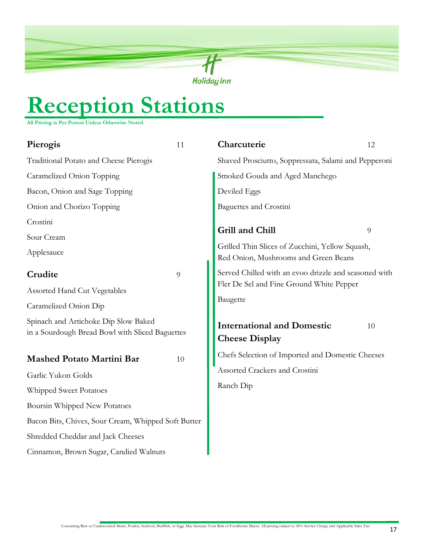

## **Reception Stations**

**All Pricing is Per Person Unless Otherwise Noted.**

| Pierogis                                                                                | 11 | Charcuterie                                                                                       | 12 |
|-----------------------------------------------------------------------------------------|----|---------------------------------------------------------------------------------------------------|----|
| Traditional Potato and Cheese Pierogis                                                  |    | Shaved Prosciutto, Soppressata, Salami and Pepperoni                                              |    |
| Caramelized Onion Topping                                                               |    | Smoked Gouda and Aged Manchego                                                                    |    |
| Bacon, Onion and Sage Topping                                                           |    | Deviled Eggs                                                                                      |    |
| Onion and Chorizo Topping                                                               |    | <b>Baguettes and Crostini</b>                                                                     |    |
| Crostini                                                                                |    |                                                                                                   |    |
| Sour Cream                                                                              |    | Grill and Chill                                                                                   | 9  |
| Applesauce                                                                              |    | Grilled Thin Slices of Zucchini, Yellow Squash,<br>Red Onion, Mushrooms and Green Beans           |    |
| Crudite                                                                                 | 9  | Served Chilled with an evoo drizzle and seasoned with<br>Fler De Sel and Fine Ground White Pepper |    |
| <b>Assorted Hand Cut Vegetables</b>                                                     |    |                                                                                                   |    |
| Caramelized Onion Dip                                                                   |    | Baugette                                                                                          |    |
| Spinach and Artichoke Dip Slow Baked<br>in a Sourdough Bread Bowl with Sliced Baguettes |    | <b>International and Domestic</b><br><b>Cheese Display</b>                                        | 10 |
| <b>Mashed Potato Martini Bar</b>                                                        | 10 | Chefs Selection of Imported and Domestic Cheeses                                                  |    |
| Garlic Yukon Golds                                                                      |    | Assorted Crackers and Crostini                                                                    |    |
| Whipped Sweet Potatoes                                                                  |    | Ranch Dip                                                                                         |    |
| Boursin Whipped New Potatoes                                                            |    |                                                                                                   |    |
| Bacon Bits, Chives, Sour Cream, Whipped Soft Butter                                     |    |                                                                                                   |    |
| Shredded Cheddar and Jack Cheeses                                                       |    |                                                                                                   |    |
| Cinnamon, Brown Sugar, Candied Walnuts                                                  |    |                                                                                                   |    |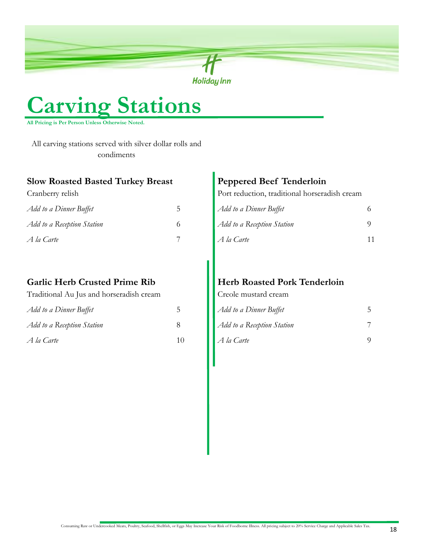

## **Carving Stations**

**All Pricing is Per Person Unless Otherwise Noted.**

All carving stations served with silver dollar rolls and condiments

#### **Slow Roasted Basted Turkey Breast**

Cranberry relish

| Add to a Dinner Buffet     |  |
|----------------------------|--|
| Add to a Reception Station |  |
| A la Carte                 |  |

### **Garlic Herb Crusted Prime Rib**

Traditional Au Jus and horseradish cream

| Add to a Dinner Buffet     | 5  |
|----------------------------|----|
| Add to a Reception Station | x  |
| A la Carte                 | 10 |

## **Peppered Beef Tenderloin**

Port reduction, traditional horseradish cream

| Add to a Dinner Buffet     | 6  |
|----------------------------|----|
| Add to a Reception Station |    |
| A la Carte                 | 11 |

## **Herb Roasted Pork Tenderloin**

Creole mustard cream

| Add to a Dinner Buffet     |  |
|----------------------------|--|
| Add to a Reception Station |  |
| A la Carte                 |  |